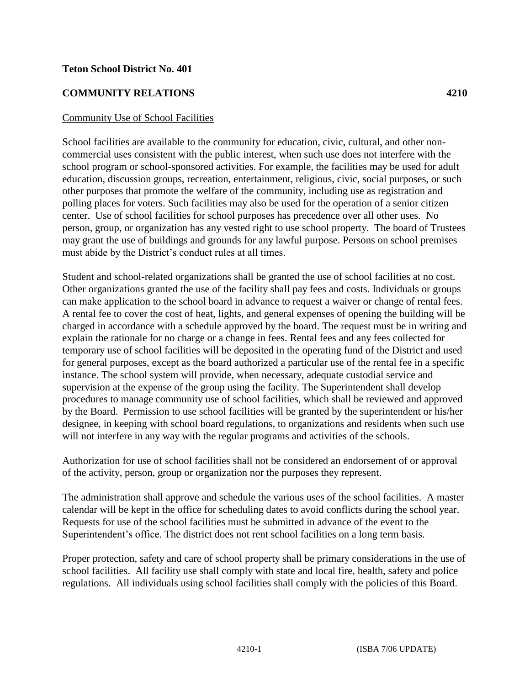## **Teton School District No. 401**

## **COMMUNITY RELATIONS 4210**

## Community Use of School Facilities

School facilities are available to the community for education, civic, cultural, and other noncommercial uses consistent with the public interest, when such use does not interfere with the school program or school-sponsored activities. For example, the facilities may be used for adult education, discussion groups, recreation, entertainment, religious, civic, social purposes, or such other purposes that promote the welfare of the community, including use as registration and polling places for voters. Such facilities may also be used for the operation of a senior citizen center. Use of school facilities for school purposes has precedence over all other uses. No person, group, or organization has any vested right to use school property. The board of Trustees may grant the use of buildings and grounds for any lawful purpose. Persons on school premises must abide by the District's conduct rules at all times.

Student and school-related organizations shall be granted the use of school facilities at no cost. Other organizations granted the use of the facility shall pay fees and costs. Individuals or groups can make application to the school board in advance to request a waiver or change of rental fees. A rental fee to cover the cost of heat, lights, and general expenses of opening the building will be charged in accordance with a schedule approved by the board. The request must be in writing and explain the rationale for no charge or a change in fees. Rental fees and any fees collected for temporary use of school facilities will be deposited in the operating fund of the District and used for general purposes, except as the board authorized a particular use of the rental fee in a specific instance. The school system will provide, when necessary, adequate custodial service and supervision at the expense of the group using the facility. The Superintendent shall develop procedures to manage community use of school facilities, which shall be reviewed and approved by the Board. Permission to use school facilities will be granted by the superintendent or his/her designee, in keeping with school board regulations, to organizations and residents when such use will not interfere in any way with the regular programs and activities of the schools.

Authorization for use of school facilities shall not be considered an endorsement of or approval of the activity, person, group or organization nor the purposes they represent.

The administration shall approve and schedule the various uses of the school facilities. A master calendar will be kept in the office for scheduling dates to avoid conflicts during the school year. Requests for use of the school facilities must be submitted in advance of the event to the Superintendent's office. The district does not rent school facilities on a long term basis.

Proper protection, safety and care of school property shall be primary considerations in the use of school facilities. All facility use shall comply with state and local fire, health, safety and police regulations. All individuals using school facilities shall comply with the policies of this Board.